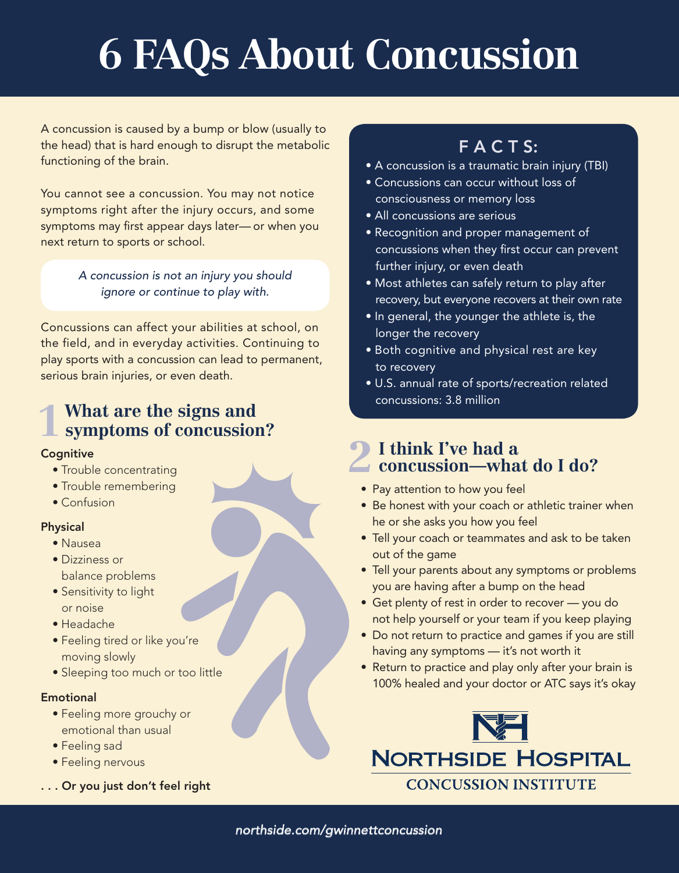# **6 FAQs About Concussion**

A concussion is caused by a bump or blow (usually to the head) that is hard enough to disrupt the metabolic functioning of the brain.

You cannot see a concussion. You may not notice symptoms right after the injury occurs, and some symptoms may first appear days later— or when you next return to sports or school.

> *A concussion is not an injury you should ignore or continue to play with.*

Concussions can affect your abilities at school, on the field, and in everyday activities. Continuing to play sports with a concussion can lead to permanent, serious brain injuries, or even death.

## **What are the signs and**  1 What are the signs and symptoms of concussion?

#### **Cognitive**

- Trouble concentrating
- Trouble remembering
- Confusion

#### Physical

- Nausea
- Dizziness or balance problems
- Sensitivity to light or noise
- Headache
- Feeling tired or like you're moving slowly
- Sleeping too much or too little

#### **Emotional**

- Feeling more grouchy or emotional than usual
- Feeling sad
- Feeling nervous
- . . . Or you just don't feel right

## FACTS:

- A concussion is a traumatic brain injury (TBI)
- Concussions can occur without loss of consciousness or memory loss
- All concussions are serious
- Recognition and proper management of concussions when they first occur can prevent further injury, or even death
- Most athletes can safely return to play after recovery, but everyone recovers at their own rate
- In general, the younger the athlete is, the longer the recovery
- Both cognitive and physical rest are key to recovery
- U.S. annual rate of sports/recreation related concussions: 3.8 million

### **I think I've had a concussion—what do I do? 2**

- Pay attention to how you feel
- Be honest with your coach or athletic trainer when he or she asks you how you feel
- Tell your coach or teammates and ask to be taken out of the game
- Tell your parents about any symptoms or problems you are having after a bump on the head
- Get plenty of rest in order to recover you do not help yourself or your team if you keep playing
- Do not return to practice and games if you are still having any symptoms — it's not worth it
- Return to practice and play only after your brain is 100% healed and your doctor or ATC says it's okay